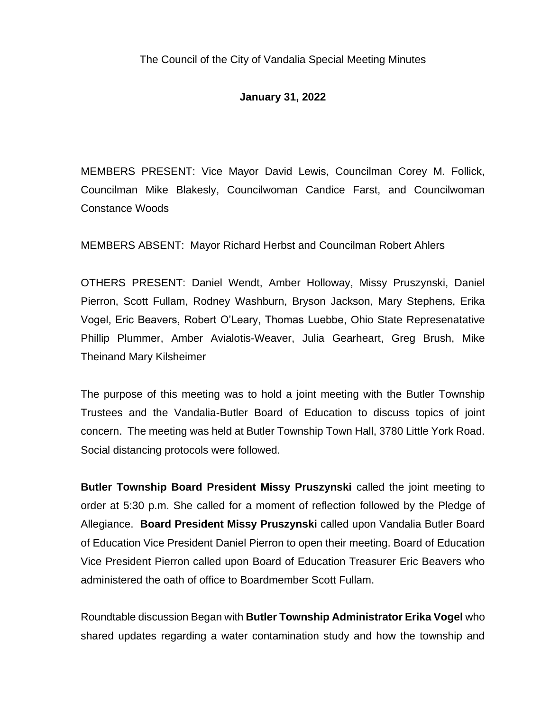## **January 31, 2022**

MEMBERS PRESENT: Vice Mayor David Lewis, Councilman Corey M. Follick, Councilman Mike Blakesly, Councilwoman Candice Farst, and Councilwoman Constance Woods

MEMBERS ABSENT: Mayor Richard Herbst and Councilman Robert Ahlers

OTHERS PRESENT: Daniel Wendt, Amber Holloway, Missy Pruszynski, Daniel Pierron, Scott Fullam, Rodney Washburn, Bryson Jackson, Mary Stephens, Erika Vogel, Eric Beavers, Robert O'Leary, Thomas Luebbe, Ohio State Represenatative Phillip Plummer, Amber Avialotis-Weaver, Julia Gearheart, Greg Brush, Mike Theinand Mary Kilsheimer

The purpose of this meeting was to hold a joint meeting with the Butler Township Trustees and the Vandalia-Butler Board of Education to discuss topics of joint concern. The meeting was held at Butler Township Town Hall, 3780 Little York Road. Social distancing protocols were followed.

**Butler Township Board President Missy Pruszynski** called the joint meeting to order at 5:30 p.m. She called for a moment of reflection followed by the Pledge of Allegiance. **Board President Missy Pruszynski** called upon Vandalia Butler Board of Education Vice President Daniel Pierron to open their meeting. Board of Education Vice President Pierron called upon Board of Education Treasurer Eric Beavers who administered the oath of office to Boardmember Scott Fullam.

Roundtable discussion Began with **Butler Township Administrator Erika Vogel** who shared updates regarding a water contamination study and how the township and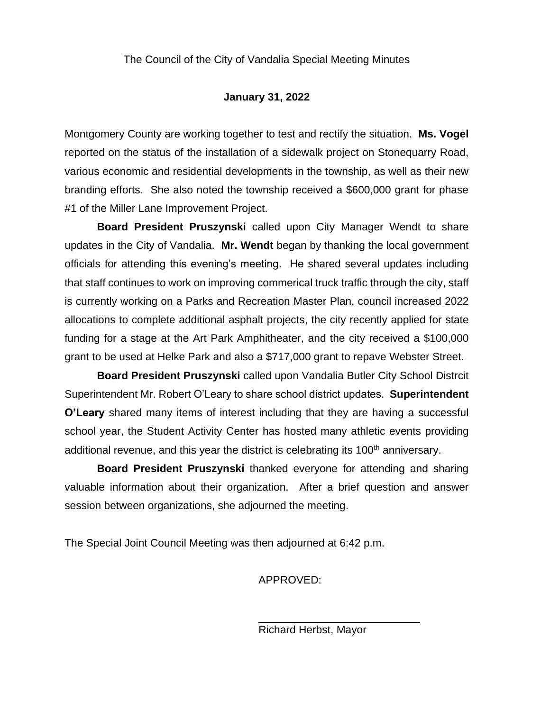## **January 31, 2022**

Montgomery County are working together to test and rectify the situation. **Ms. Vogel** reported on the status of the installation of a sidewalk project on Stonequarry Road, various economic and residential developments in the township, as well as their new branding efforts. She also noted the township received a \$600,000 grant for phase #1 of the Miller Lane Improvement Project.

**Board President Pruszynski** called upon City Manager Wendt to share updates in the City of Vandalia. **Mr. Wendt** began by thanking the local government officials for attending this evening's meeting. He shared several updates including that staff continues to work on improving commerical truck traffic through the city, staff is currently working on a Parks and Recreation Master Plan, council increased 2022 allocations to complete additional asphalt projects, the city recently applied for state funding for a stage at the Art Park Amphitheater, and the city received a \$100,000 grant to be used at Helke Park and also a \$717,000 grant to repave Webster Street.

**Board President Pruszynski** called upon Vandalia Butler City School Distrcit Superintendent Mr. Robert O'Leary to share school district updates. **Superintendent O'Leary** shared many items of interest including that they are having a successful school year, the Student Activity Center has hosted many athletic events providing additional revenue, and this year the district is celebrating its 100<sup>th</sup> anniversary.

**Board President Pruszynski** thanked everyone for attending and sharing valuable information about their organization. After a brief question and answer session between organizations, she adjourned the meeting.

The Special Joint Council Meeting was then adjourned at 6:42 p.m.

APPROVED:

Richard Herbst, Mayor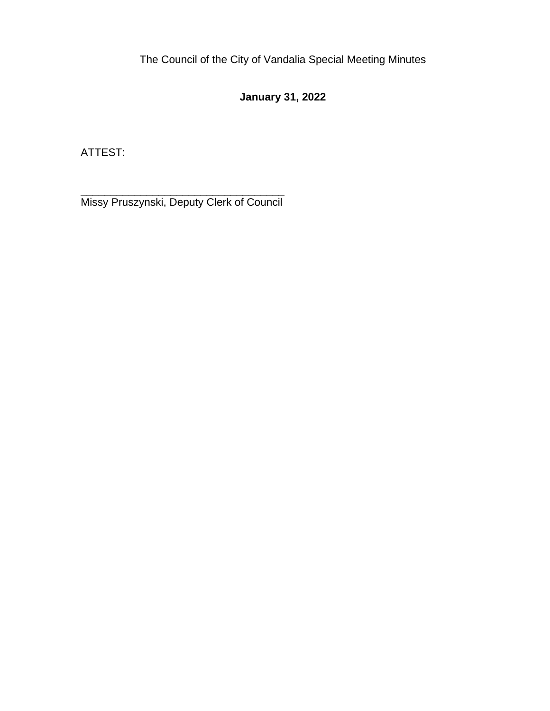## **January 31, 2022**

ATTEST:

\_\_\_\_\_\_\_\_\_\_\_\_\_\_\_\_\_\_\_\_\_\_\_\_\_\_\_\_\_\_\_\_\_\_ Missy Pruszynski, Deputy Clerk of Council